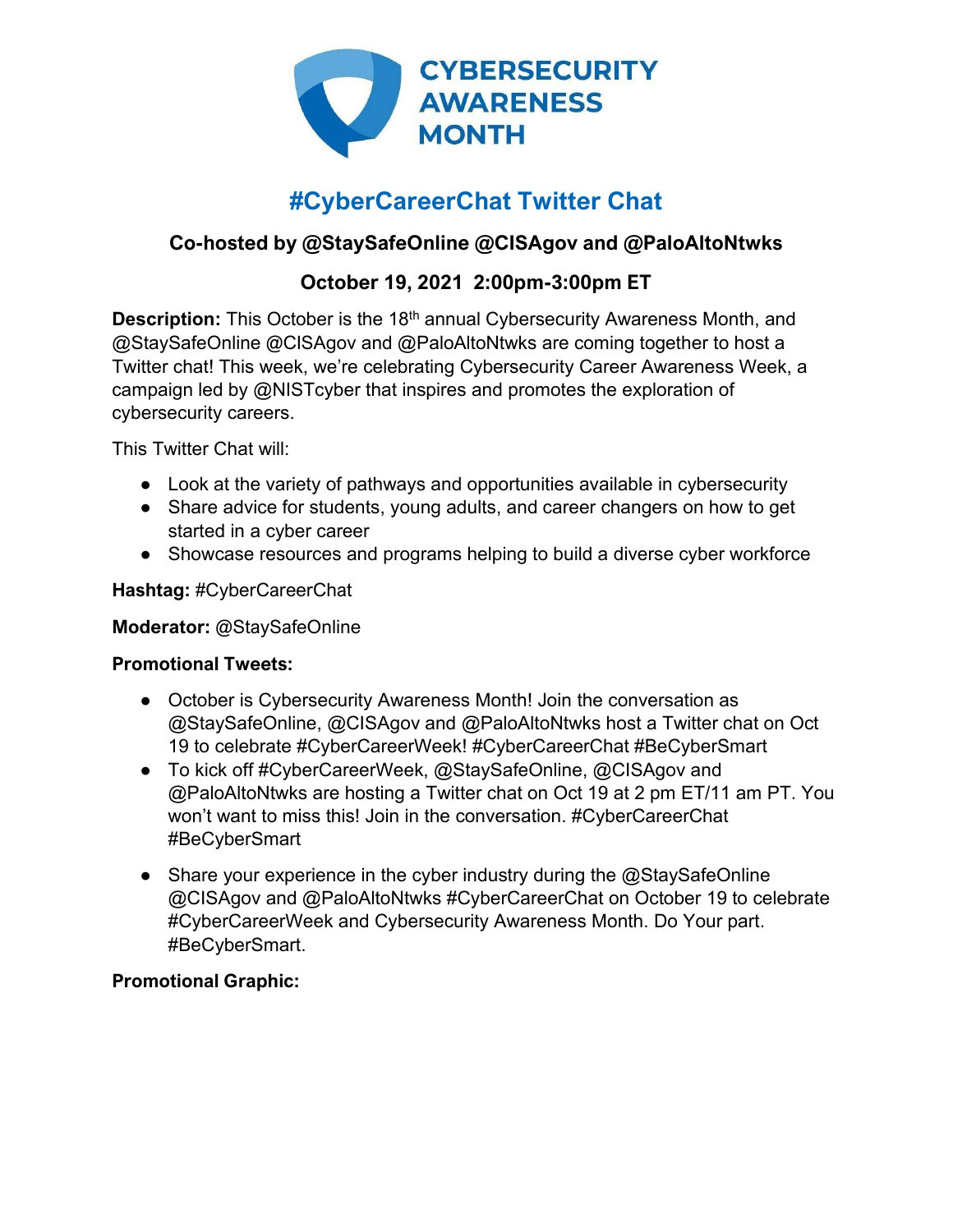

# **#CyberCareerChat Twitter Chat**

# **Co-hosted by @StaySafeOnline @CISAgov and @PaloAltoNtwks**

## **October 19, 2021 2:00pm-3:00pm ET**

**Description:** This October is the 18<sup>th</sup> annual Cybersecurity Awareness Month, and @StaySafeOnline @CISAgov and @PaloAltoNtwks are coming together to host a Twitter chat! This week, we're celebrating Cybersecurity Career Awareness Week, a campaign led by @NISTcyber that inspires and promotes the exploration of cybersecurity careers.

This Twitter Chat will:

- Look at the variety of pathways and opportunities available in cybersecurity
- Share advice for students, young adults, and career changers on how to get started in a cyber career
- Showcase resources and programs helping to build a diverse cyber workforce

#### **Hashtag:** #CyberCareerChat

#### **Moderator:** @StaySafeOnline

#### **Promotional Tweets:**

- October is Cybersecurity Awareness Month! Join the conversation as @StaySafeOnline, @CISAgov and @PaloAltoNtwks host a Twitter chat on Oct 19 to celebrate #CyberCareerWeek! #CyberCareerChat #BeCyberSmart
- To kick off #CyberCareerWeek, @StaySafeOnline, @CISAgov and @PaloAltoNtwks are hosting a Twitter chat on Oct 19 at 2 pm ET/11 am PT. You won't want to miss this! Join in the conversation. #CyberCareerChat #BeCyberSmart
- Share your experience in the cyber industry during the  $@$ StaySafeOnline @CISAgov and @PaloAltoNtwks #CyberCareerChat on October 19 to celebrate #CyberCareerWeek and Cybersecurity Awareness Month. Do Your part. #BeCyberSmart.

## **Promotional Graphic:**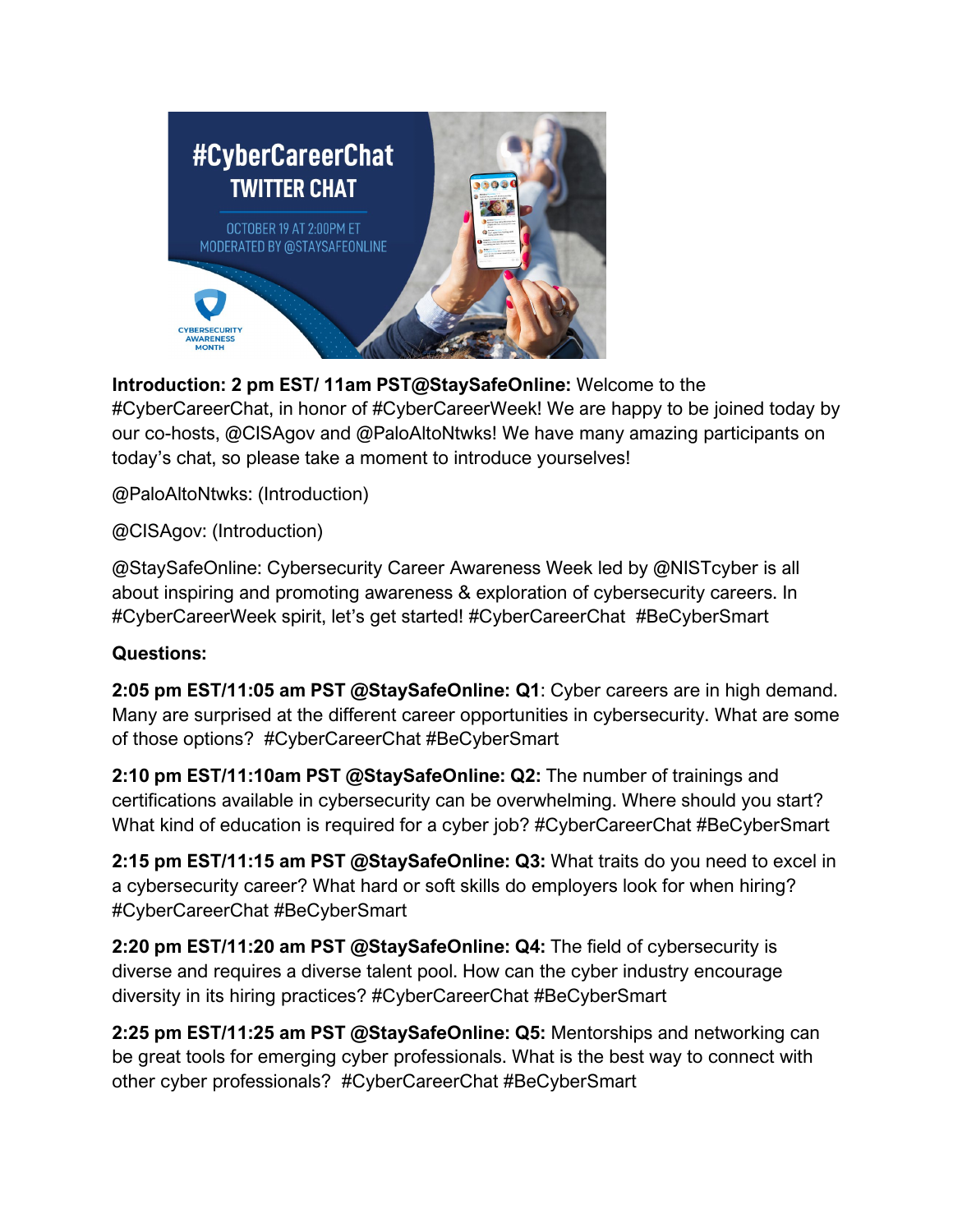

**Introduction: 2 pm EST/ 11am PST@StaySafeOnline:** Welcome to the #CyberCareerChat, in honor of #CyberCareerWeek! We are happy to be joined today by our co-hosts, @CISAgov and @PaloAltoNtwks! We have many amazing participants on today's chat, so please take a moment to introduce yourselves!

@PaloAltoNtwks: (Introduction)

@CISAgov: (Introduction)

@StaySafeOnline: Cybersecurity Career Awareness Week led by @NISTcyber is all about inspiring and promoting awareness & exploration of cybersecurity careers. In #CyberCareerWeek spirit, let's get started! #CyberCareerChat #BeCyberSmart

#### **Questions:**

**2:05 pm EST/11:05 am PST @StaySafeOnline: Q1**: Cyber careers are in high demand. Many are surprised at the different career opportunities in cybersecurity. What are some of those options? #CyberCareerChat #BeCyberSmart

**2:10 pm EST/11:10am PST @StaySafeOnline: Q2:** The number of trainings and certifications available in cybersecurity can be overwhelming. Where should you start? What kind of education is required for a cyber job? #CyberCareerChat #BeCyberSmart

**2:15 pm EST/11:15 am PST @StaySafeOnline: Q3:** What traits do you need to excel in a cybersecurity career? What hard or soft skills do employers look for when hiring? #CyberCareerChat #BeCyberSmart

**2:20 pm EST/11:20 am PST @StaySafeOnline: Q4:** The field of cybersecurity is diverse and requires a diverse talent pool. How can the cyber industry encourage diversity in its hiring practices? #CyberCareerChat #BeCyberSmart

**2:25 pm EST/11:25 am PST @StaySafeOnline: Q5:** Mentorships and networking can be great tools for emerging cyber professionals. What is the best way to connect with other cyber professionals? #CyberCareerChat #BeCyberSmart